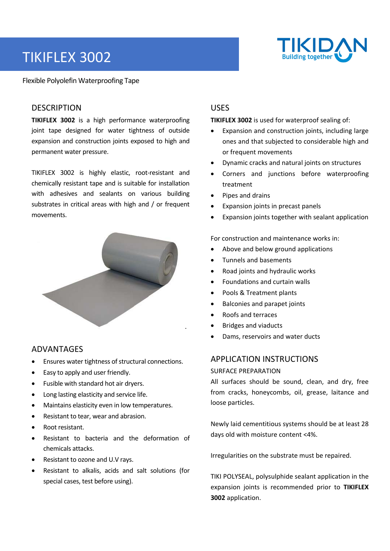# TIKIFLEX 3002



Flexible Polyolefin Waterproofing Tape

## **DESCRIPTION**

**TIKIFLEX 3002**  is a high performance waterproofing joint tape designed for water tightness of outside expansion and construction joints exposed to high and permanent water pressure.

TIKIFLEX 3002 is highly elastic, root‐resistant and chemically resistant tape and is suitable for installation with adhesives and sealants on various building substrates in critical areas with high and / or frequent movements.



## ADVANTAGES

- Ensures water tightness of structural connections.
- Easy to apply and user friendly.
- Fusible with standard hot air dryers.
- Long lasting elasticity and service life.
- Maintains elasticity even in low temperatures.
- Resistant to tear, wear and abrasion.
- Root resistant.
- Resistant to bacteria and the deformation of chemicals attacks.
- Resistant to ozone and U.V rays.
- Resistant to alkalis, acids and salt solutions (for special cases, test before using).

## USES

**TIKIFLEX 3002** is used for waterproof sealing of:

- Expansion and construction joints, including large ones and that subjected to considerable high and or frequent movements
- Dynamic cracks and natural joints on structures
- Corners and junctions before waterproofing treatment
- Pipes and drains
- Expansion joints in precast panels
- Expansion joints together with sealant application

For construction and maintenance works in:

- Above and below ground applications
- Tunnels and basements
- Road joints and hydraulic works
- Foundations and curtain walls
- Pools & Treatment plants
- Balconies and parapet joints
- Roofs and terraces

.

- Bridges and viaducts
- Dams, reservoirs and water ducts

## APPLICATION INSTRUCTIONS

### SURFACE PREPARATION

All surfaces should be sound, clean, and dry, free from cracks, honeycombs, oil, grease, laitance and loose particles.

Newly laid cementitious systems should be at least 28 days old with moisture content <4%.

Irregularities on the substrate must be repaired.

TIKI POLYSEAL, polysulphide sealant application in the expansion joints is recommended prior to **TIKIFLEX 3002** application.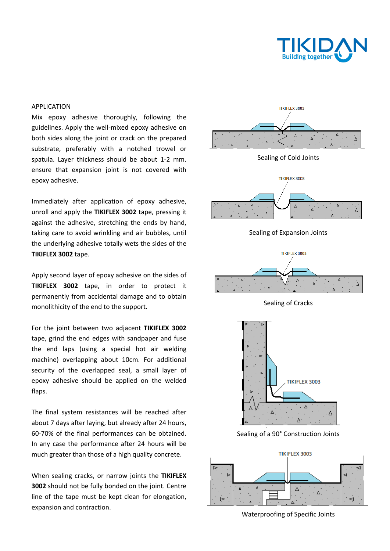

#### APPLICATION

Mix epoxy adhesive thoroughly, following the guidelines. Apply the well‐mixed epoxy adhesive on both sides along the joint or crack on the prepared substrate, preferably with a notched trowel or spatula. Layer thickness should be about 1‐2 mm. ensure that expansion joint is not covered with epoxy adhesive.

Immediately after application of epoxy adhesive, unroll and apply the **TIKIFLEX 3002** tape, pressing it against the adhesive, stretching the ends by hand, taking care to avoid wrinkling and air bubbles, until the underlying adhesive totally wets the sides of the **TIKIFLEX 3002** tape.

Apply second layer of epoxy adhesive on the sides of **TIKIFLEX 3002** tape, in order to protect it permanently from accidental damage and to obtain monolithicity of the end to the support.

For the joint between two adjacent **TIKIFLEX 3002** tape, grind the end edges with sandpaper and fuse the end laps (using a special hot air welding machine) overlapping about 10cm. For additional security of the overlapped seal, a small layer of epoxy adhesive should be applied on the welded flaps.

The final system resistances will be reached after about 7 days after laying, but already after 24 hours, 60‐70% of the final performances can be obtained. In any case the performance after 24 hours will be much greater than those of a high quality concrete.

When sealing cracks, or narrow joints the **TIKIFLEX 3002** should not be fully bonded on the joint. Centre line of the tape must be kept clean for elongation, expansion and contraction.



Sealing of Cold Joints



Sealing of Expansion Joints



Sealing of Cracks



Sealing of a 90° Construction Joints



Waterproofing of Specific Joints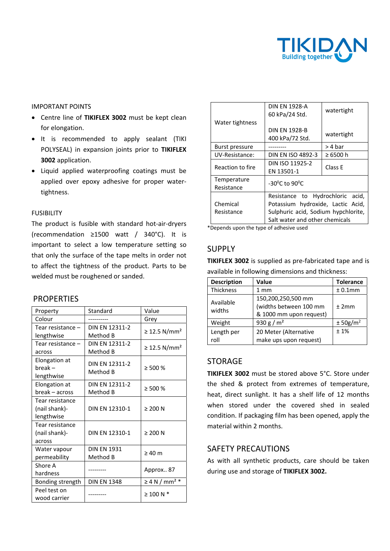

#### IMPORTANT POINTS

- Centre line of **TIKIFLEX 3002** must be kept clean for elongation.
- It is recommended to apply sealant (TIKI POLYSEAL) in expansion joints prior to **TIKIFLEX 3002** application.
- Liquid applied waterproofing coatings must be applied over epoxy adhesive for proper water‐ tightness.

#### FUSIBILITY

The product is fusible with standard hot‐air‐dryers (recommendation  $\geq 1500$  watt / 340°C). It is important to select a low temperature setting so that only the surface of the tape melts in order not to affect the tightness of the product. Parts to be welded must be roughened or sanded.

## **PROPERTIES**

| Property          | Standard              | Value                          |  |
|-------------------|-----------------------|--------------------------------|--|
| Colour            |                       | Grey                           |  |
| Tear resistance - | DIN EN 12311-2        |                                |  |
| lengthwise        | Method B              | ≥ 12.5 N/mm <sup>2</sup>       |  |
| Tear resistance - | <b>DIN EN 12311-2</b> |                                |  |
| across            | Method B              | ≥ 12.5 N/mm <sup>2</sup>       |  |
| Elongation at     | <b>DIN EN 12311-2</b> | $\geq 500 \%$                  |  |
| $break -$         | Method B              |                                |  |
| lengthwise        |                       |                                |  |
| Elongation at     | <b>DIN EN 12311-2</b> | $\geq 500 \%$                  |  |
| break – across    | Method B              |                                |  |
| Tear resistance   |                       |                                |  |
| (nail shank)-     | DIN EN 12310-1        | $\geq 200$ N                   |  |
| lengthwise        |                       |                                |  |
| Tear resistance   |                       |                                |  |
| (nail shank)-     | DIN EN 12310-1        | $\geq 200$ N                   |  |
| across            |                       |                                |  |
| Water vapour      | <b>DIN EN 1931</b>    | $\geq 40$ m                    |  |
| permeability      | Method B              |                                |  |
| Shore A           |                       | Approx 87                      |  |
| hardness          |                       |                                |  |
| Bonding strength  | <b>DIN EN 1348</b>    | $\geq 4$ N / mm <sup>2</sup> * |  |
| Peel test on      |                       | $\geq$ 100 N $*$               |  |
| wood carrier      |                       |                                |  |

|                  | DIN FN 1928-A<br>60 kPa/24 Std.         | watertight |  |
|------------------|-----------------------------------------|------------|--|
| Water tightness  |                                         |            |  |
|                  | <b>DIN FN 1928-B</b>                    |            |  |
|                  | 400 kPa/72 Std.                         | watertight |  |
| Burst pressure   |                                         | > 4 bar    |  |
| UV-Resistance:   | <b>DIN EN ISO 4892-3</b>                | ≥ 6500 h   |  |
| Reaction to fire | DIN ISO 11925-2                         | Class F    |  |
|                  | EN 13501-1                              |            |  |
| Temperature      | -30 <sup>o</sup> C to 90 <sup>o</sup> C |            |  |
| Resistance       |                                         |            |  |
|                  | Resistance to Hydrochloric acid,        |            |  |
| Chemical         | Potassium hydroxide, Lactic Acid,       |            |  |
| Resistance       | Sulphuric acid, Sodium hypchlorite,     |            |  |
|                  | Salt water and other chemicals          |            |  |

\*Depends upon the type of adhesive used

## SUPPLY

**TIKIFLEX 3002** is supplied as pre‐fabricated tape and is available in following dimensions and thickness:

| <b>Description</b>  | Value                                                                   | <b>Tolerance</b>     |
|---------------------|-------------------------------------------------------------------------|----------------------|
| Thickness           | $1 \text{ mm}$                                                          | ± 0.1mm              |
| Available<br>widths | 150,200,250,500 mm<br>(widths between 100 mm<br>& 1000 mm upon request) | ±2mm                 |
| Weight              | 930 g / $m2$                                                            | ± 50g/m <sup>2</sup> |
| Length per<br>roll  | 20 Meter (Alternative<br>make ups upon request)                         | $±1\%$               |

## STORAGE

**TIKIFLEX 3002** must be stored above 5°C. Store under the shed & protect from extremes of temperature, heat, direct sunlight. It has a shelf life of 12 months when stored under the covered shed in sealed condition. If packaging film has been opened, apply the material within 2 months.

## SAFETY PRECAUTIONS

As with all synthetic products, care should be taken during use and storage of **TIKIFLEX 3002.**